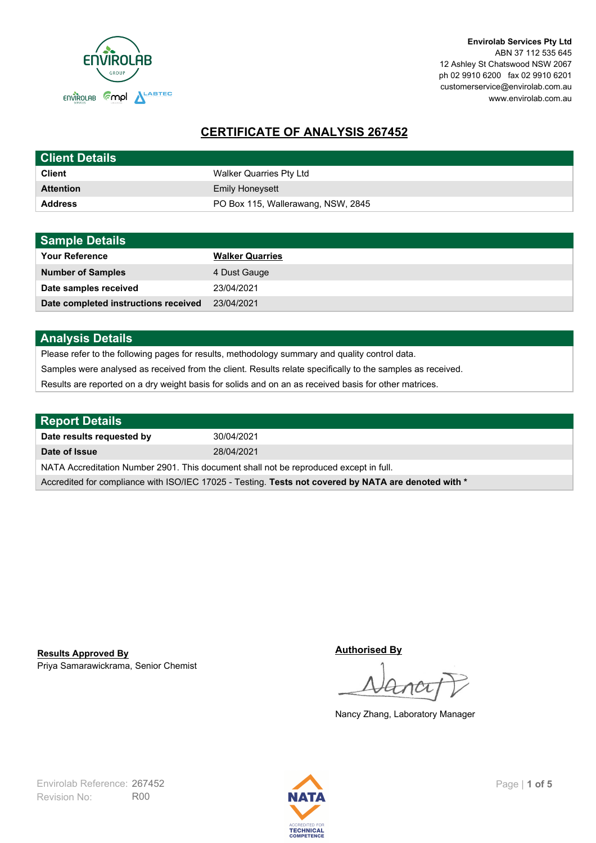

**Envirolab Services Pty Ltd** ABN 37 112 535 645 12 Ashley St Chatswood NSW 2067 ph 02 9910 6200 fax 02 9910 6201 customerservice@envirolab.com.au www.envirolab.com.au

# **CERTIFICATE OF ANALYSIS 267452**

| <b>Client Details</b> |                                    |
|-----------------------|------------------------------------|
| <b>Client</b>         | Walker Quarries Pty Ltd            |
| <b>Attention</b>      | <b>Emily Honeysett</b>             |
| <b>Address</b>        | PO Box 115, Wallerawang, NSW, 2845 |

| <b>Sample Details</b>                |                        |
|--------------------------------------|------------------------|
| <b>Your Reference</b>                | <b>Walker Quarries</b> |
| <b>Number of Samples</b>             | 4 Dust Gauge           |
| Date samples received                | 23/04/2021             |
| Date completed instructions received | 23/04/2021             |

## **Analysis Details**

Please refer to the following pages for results, methodology summary and quality control data.

Samples were analysed as received from the client. Results relate specifically to the samples as received.

Results are reported on a dry weight basis for solids and on an as received basis for other matrices.

| Report Details                                                                                       |            |  |
|------------------------------------------------------------------------------------------------------|------------|--|
| Date results requested by                                                                            | 30/04/2021 |  |
| Date of Issue                                                                                        | 28/04/2021 |  |
| NATA Accreditation Number 2901. This document shall not be reproduced except in full.                |            |  |
| Accredited for compliance with ISO/IEC 17025 - Testing. Tests not covered by NATA are denoted with * |            |  |

Priya Samarawickrama, Senior Chemist **Results Approved By**

**Authorised By**

Nancy Zhang, Laboratory Manager

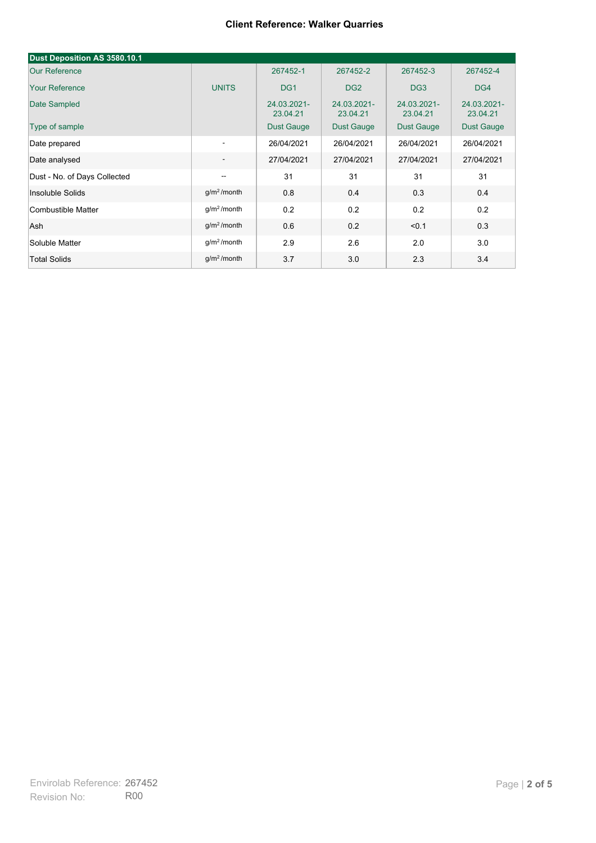| Dust Deposition AS 3580.10.1 |                          |                         |                         |                         |                         |
|------------------------------|--------------------------|-------------------------|-------------------------|-------------------------|-------------------------|
| <b>Our Reference</b>         |                          | 267452-1                | 267452-2                | 267452-3                | 267452-4                |
| <b>Your Reference</b>        | <b>UNITS</b>             | DG <sub>1</sub>         | DG <sub>2</sub>         | DG <sub>3</sub>         | DG4                     |
| Date Sampled                 |                          | 24.03.2021-<br>23.04.21 | 24.03.2021-<br>23.04.21 | 24.03.2021-<br>23.04.21 | 24.03.2021-<br>23.04.21 |
| Type of sample               |                          | <b>Dust Gauge</b>       | <b>Dust Gauge</b>       | <b>Dust Gauge</b>       | Dust Gauge              |
| Date prepared                | $\overline{\phantom{a}}$ | 26/04/2021              | 26/04/2021              | 26/04/2021              | 26/04/2021              |
| Date analysed                | $\overline{\phantom{a}}$ | 27/04/2021              | 27/04/2021              | 27/04/2021              | 27/04/2021              |
| Dust - No. of Days Collected | $\overline{\phantom{a}}$ | 31                      | 31                      | 31                      | 31                      |
| Insoluble Solids             | g/m <sup>2</sup> /month  | 0.8                     | 0.4                     | 0.3                     | 0.4                     |
| Combustible Matter           | g/m <sup>2</sup> /month  | 0.2                     | 0.2                     | 0.2                     | 0.2                     |
| Ash                          | g/m <sup>2</sup> /month  | 0.6                     | 0.2                     | < 0.1                   | 0.3                     |
| Soluble Matter               | g/m <sup>2</sup> /month  | 2.9                     | 2.6                     | 2.0                     | 3.0                     |
| <b>Total Solids</b>          | g/m <sup>2</sup> /month  | 3.7                     | 3.0                     | 2.3                     | 3.4                     |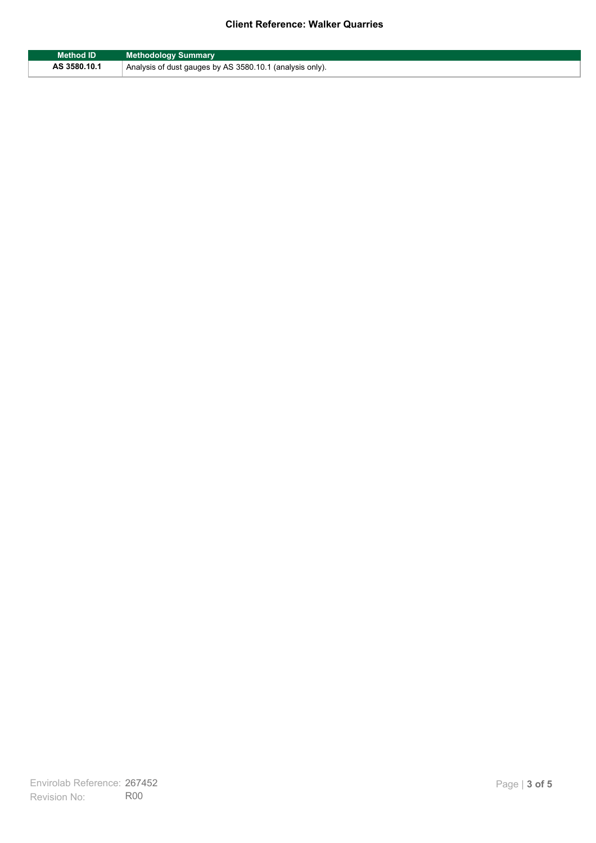| Method ID    | <b>Methodology Summary</b>                                            |
|--------------|-----------------------------------------------------------------------|
| AS 3580.10.1 | <sup>1</sup> Analysis of dust gauges by AS 3580.10.1 (analysis only). |

F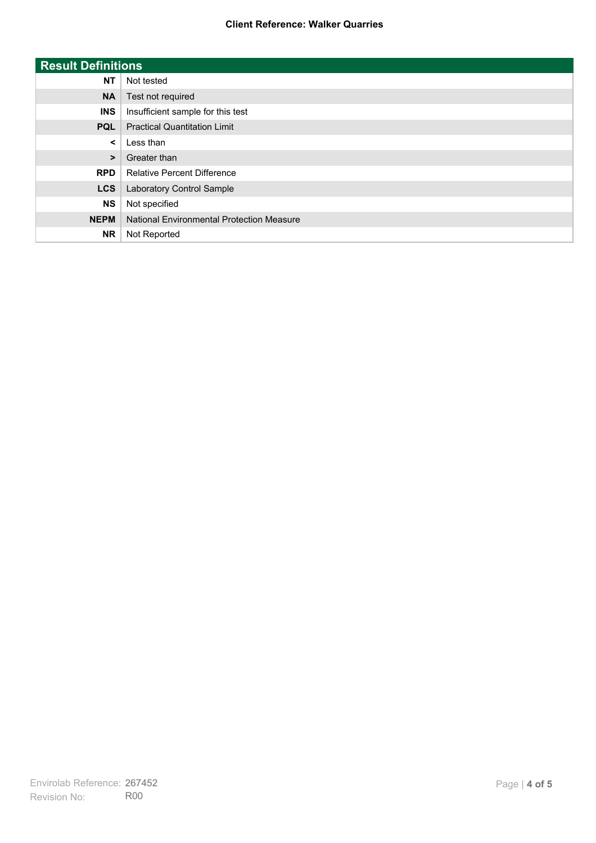| <b>Result Definitions</b> |                                           |
|---------------------------|-------------------------------------------|
| <b>NT</b>                 | Not tested                                |
| <b>NA</b>                 | Test not required                         |
| <b>INS</b>                | Insufficient sample for this test         |
| <b>PQL</b>                | <b>Practical Quantitation Limit</b>       |
| $\prec$                   | Less than                                 |
| $\geq$                    | Greater than                              |
| <b>RPD</b>                | <b>Relative Percent Difference</b>        |
| <b>LCS</b>                | Laboratory Control Sample                 |
| <b>NS</b>                 | Not specified                             |
| <b>NEPM</b>               | National Environmental Protection Measure |
| <b>NR</b>                 | Not Reported                              |